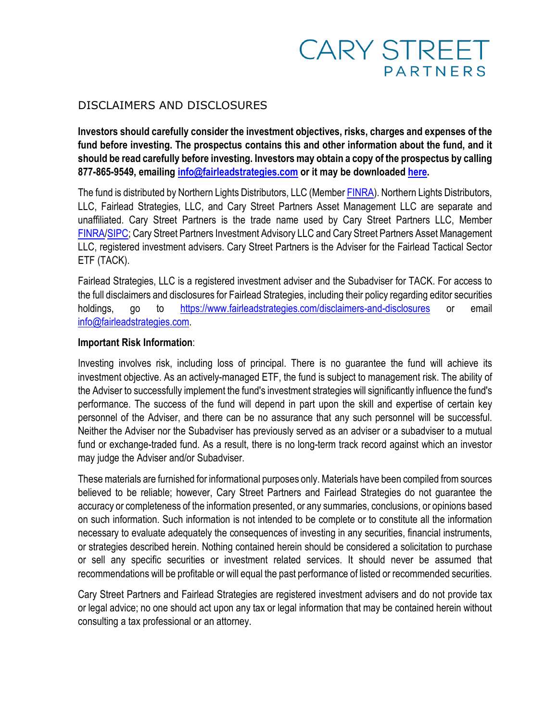## **CARY STREET PARTNERS**

## DISCLAIMERS AND DISCLOSURES

**Investors should carefully consider the investment objectives, risks, charges and expenses of the fund before investing. The prospectus contains this and other information about the fund, and it should be read carefully before investing. Investors may obtain a copy of the prospectus by calling 877-865-9549, emailing [info@fairleadstrategies.com](mailto:info@fairleadstrategies.com) or it may be downloaded [here.](https://sitedev.filepoint.com/fairlead/assets/pdfs/Fairlead_Tactical_Sector_ETF_Prospectus.pdf)** 

The fund is distributed by Northern Lights Distributors, LLC (Member [FINRA\)](https://www.finra.org/#/). Northern Lights Distributors, LLC, Fairlead Strategies, LLC, and Cary Street Partners Asset Management LLC are separate and unaffiliated. Cary Street Partners is the trade name used by Cary Street Partners LLC, Member [FINRA/](https://www.finra.org/#/)[SIPC;](https://www.sipc.org/) Cary Street Partners Investment Advisory LLC and Cary Street Partners Asset Management LLC, registered investment advisers. Cary Street Partners is the Adviser for the Fairlead Tactical Sector ETF (TACK).

Fairlead Strategies, LLC is a registered investment adviser and the Subadviser for TACK. For access to the full disclaimers and disclosures for Fairlead Strategies, including their policy regarding editor securities holdings, go to <https://www.fairleadstrategies.com/disclaimers-and-disclosures> or email [info@fairleadstrategies.com.](mailto:info@fairleadstrategies.com)

## **Important Risk Information**:

Investing involves risk, including loss of principal. There is no guarantee the fund will achieve its investment objective. As an actively-managed ETF, the fund is subject to management risk. The ability of the Adviser to successfully implement the fund's investment strategies will significantly influence the fund's performance. The success of the fund will depend in part upon the skill and expertise of certain key personnel of the Adviser, and there can be no assurance that any such personnel will be successful. Neither the Adviser nor the Subadviser has previously served as an adviser or a subadviser to a mutual fund or exchange-traded fund. As a result, there is no long-term track record against which an investor may judge the Adviser and/or Subadviser.

These materials are furnished for informational purposes only. Materials have been compiled from sources believed to be reliable; however, Cary Street Partners and Fairlead Strategies do not guarantee the accuracy or completeness of the information presented, or any summaries, conclusions, or opinions based on such information. Such information is not intended to be complete or to constitute all the information necessary to evaluate adequately the consequences of investing in any securities, financial instruments, or strategies described herein. Nothing contained herein should be considered a solicitation to purchase or sell any specific securities or investment related services. It should never be assumed that recommendations will be profitable or will equal the past performance of listed or recommended securities.

Cary Street Partners and Fairlead Strategies are registered investment advisers and do not provide tax or legal advice; no one should act upon any tax or legal information that may be contained herein without consulting a tax professional or an attorney.